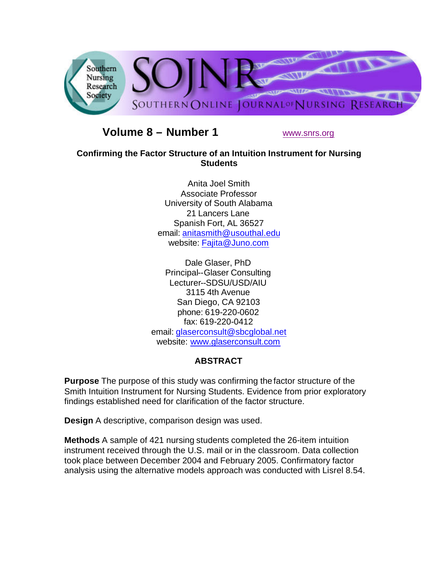

# **Volume 8 – Number 1** www.snrs.org

### **Confirming the Factor Structure of an Intuition Instrument for Nursing Students**

Anita Joel Smith Associate Professor University of South Alabama 21 Lancers Lane Spanish Fort, AL 36527 email: anitasmith@usouthal.edu website: Fajita@Juno.com

Dale Glaser, PhD Principal--Glaser Consulting Lecturer--SDSU/USD/AIU 3115 4th Avenue San Diego, CA 92103 phone: 619-220-0602 fax: 619-220-0412 email: glaserconsult@sbcglobal.net website: www.glaserconsult.com

### **ABSTRACT**

**Purpose** The purpose of this study was confirming the factor structure of the Smith Intuition Instrument for Nursing Students. Evidence from prior exploratory findings established need for clarification of the factor structure.

**Design** A descriptive, comparison design was used.

**Methods** A sample of 421 nursing students completed the 26-item intuition instrument received through the U.S. mail or in the classroom. Data collection took place between December 2004 and February 2005. Confirmatory factor analysis using the alternative models approach was conducted with Lisrel 8.54.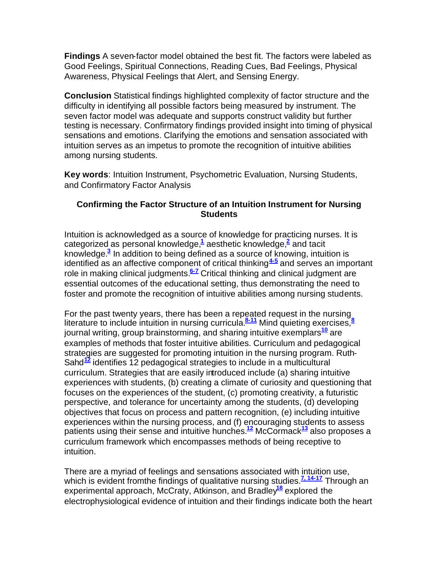**Findings** A seven-factor model obtained the best fit. The factors were labeled as Good Feelings, Spiritual Connections, Reading Cues, Bad Feelings, Physical Awareness, Physical Feelings that Alert, and Sensing Energy.

**Conclusion** Statistical findings highlighted complexity of factor structure and the difficulty in identifying all possible factors being measured by instrument. The seven factor model was adequate and supports construct validity but further testing is necessary. Confirmatory findings provided insight into timing of physical sensations and emotions. Clarifying the emotions and sensation associated with intuition serves as an impetus to promote the recognition of intuitive abilities among nursing students.

**Key words**: Intuition Instrument, Psychometric Evaluation, Nursing Students, and Confirmatory Factor Analysis

### **Confirming the Factor Structure of an Intuition Instrument for Nursing Students**

Intuition is acknowledged as a source of knowledge for practicing nurses. It is categorized as personal knowledge,**<sup>1</sup>** aesthetic knowledge,**<sup>2</sup>** and tacit knowledge.**<sup>3</sup>** In addition to being defined as a source of knowing, intuition is identified as an affective component of critical thinking**4-5** and serves an important role in making clinical judgments.**6-7** Critical thinking and clinical judgment are essential outcomes of the educational setting, thus demonstrating the need to foster and promote the recognition of intuitive abilities among nursing students.

For the past twenty years, there has been a repeated request in the nursing literature to include intuition in nursing curricula.**8-11** Mind quieting exercises,**<sup>8</sup>** journal writing, group brainstorming, and sharing intuitive exemplars**<sup>10</sup>** are examples of methods that foster intuitive abilities. Curriculum and pedagogical strategies are suggested for promoting intuition in the nursing program. Ruth-Sahd**<sup>12</sup>** identifies 12 pedagogical strategies to include in a multicultural curriculum. Strategies that are easily introduced include (a) sharing intuitive experiences with students, (b) creating a climate of curiosity and questioning that focuses on the experiences of the student, (c) promoting creativity, a futuristic perspective, and tolerance for uncertainty among the students, (d) developing objectives that focus on process and pattern recognition, (e) including intuitive experiences within the nursing process, and (f) encouraging students to assess patients using their sense and intuitive hunches.**<sup>12</sup>** McCormack**<sup>13</sup>** also proposes a curriculum framework which encompasses methods of being receptive to intuition.

There are a myriad of feelings and sensations associated with intuition use, which is evident fromthe findings of qualitative nursing studies.<sup>7, 14-17</sup> Through an experimental approach, McCraty, Atkinson, and Bradley**<sup>18</sup>** explored the electrophysiological evidence of intuition and their findings indicate both the heart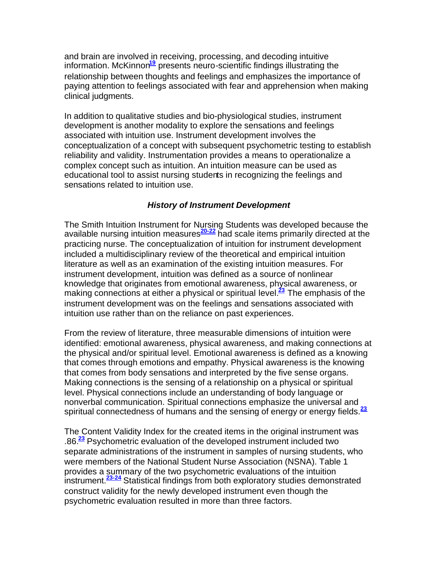and brain are involved in receiving, processing, and decoding intuitive information. McKinnon**<sup>19</sup>** presents neuro-scientific findings illustrating the relationship between thoughts and feelings and emphasizes the importance of paying attention to feelings associated with fear and apprehension when making clinical judgments.

In addition to qualitative studies and bio-physiological studies, instrument development is another modality to explore the sensations and feelings associated with intuition use. Instrument development involves the conceptualization of a concept with subsequent psychometric testing to establish reliability and validity. Instrumentation provides a means to operationalize a complex concept such as intuition. An intuition measure can be used as educational tool to assist nursing students in recognizing the feelings and sensations related to intuition use.

#### *History of Instrument Development*

The Smith Intuition Instrument for Nursing Students was developed because the available nursing intuition measures**20-22** had scale items primarily directed at the practicing nurse. The conceptualization of intuition for instrument development included a multidisciplinary review of the theoretical and empirical intuition literature as well as an examination of the existing intuition measures. For instrument development, intuition was defined as a source of nonlinear knowledge that originates from emotional awareness, physical awareness, or making connections at either a physical or spiritual level.**<sup>23</sup>** The emphasis of the instrument development was on the feelings and sensations associated with intuition use rather than on the reliance on past experiences.

From the review of literature, three measurable dimensions of intuition were identified: emotional awareness, physical awareness, and making connections at the physical and/or spiritual level. Emotional awareness is defined as a knowing that comes through emotions and empathy. Physical awareness is the knowing that comes from body sensations and interpreted by the five sense organs. Making connections is the sensing of a relationship on a physical or spiritual level. Physical connections include an understanding of body language or nonverbal communication. Spiritual connections emphasize the universal and spiritual connectedness of humans and the sensing of energy or energy fields.**<sup>23</sup>**

The Content Validity Index for the created items in the original instrument was .86.**<sup>23</sup>** Psychometric evaluation of the developed instrument included two separate administrations of the instrument in samples of nursing students, who were members of the National Student Nurse Association (NSNA). Table 1 provides a summary of the two psychometric evaluations of the intuition instrument.**23-24** Statistical findings from both exploratory studies demonstrated construct validity for the newly developed instrument even though the psychometric evaluation resulted in more than three factors.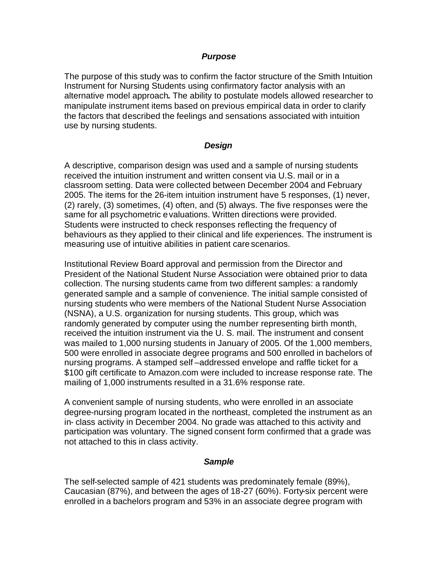#### *Purpose*

The purpose of this study was to confirm the factor structure of the Smith Intuition Instrument for Nursing Students using confirmatory factor analysis with an alternative model approach**.** The ability to postulate models allowed researcher to manipulate instrument items based on previous empirical data in order to clarify the factors that described the feelings and sensations associated with intuition use by nursing students.

#### *Design*

A descriptive, comparison design was used and a sample of nursing students received the intuition instrument and written consent via U.S. mail or in a classroom setting. Data were collected between December 2004 and February 2005. The items for the 26-item intuition instrument have 5 responses, (1) never, (2) rarely, (3) sometimes, (4) often, and (5) always. The five responses were the same for all psychometric evaluations. Written directions were provided. Students were instructed to check responses reflecting the frequency of behaviours as they applied to their clinical and life experiences. The instrument is measuring use of intuitive abilities in patient care scenarios.

Institutional Review Board approval and permission from the Director and President of the National Student Nurse Association were obtained prior to data collection. The nursing students came from two different samples: a randomly generated sample and a sample of convenience. The initial sample consisted of nursing students who were members of the National Student Nurse Association (NSNA), a U.S. organization for nursing students. This group, which was randomly generated by computer using the number representing birth month, received the intuition instrument via the U. S. mail. The instrument and consent was mailed to 1,000 nursing students in January of 2005. Of the 1,000 members, 500 were enrolled in associate degree programs and 500 enrolled in bachelors of nursing programs. A stamped self –addressed envelope and raffle ticket for a \$100 gift certificate to Amazon.com were included to increase response rate. The mailing of 1,000 instruments resulted in a 31.6% response rate.

A convenient sample of nursing students, who were enrolled in an associate degree-nursing program located in the northeast, completed the instrument as an in- class activity in December 2004. No grade was attached to this activity and participation was voluntary. The signed consent form confirmed that a grade was not attached to this in class activity.

#### *Sample*

The self-selected sample of 421 students was predominately female (89%), Caucasian (87%), and between the ages of 18-27 (60%). Forty-six percent were enrolled in a bachelors program and 53% in an associate degree program with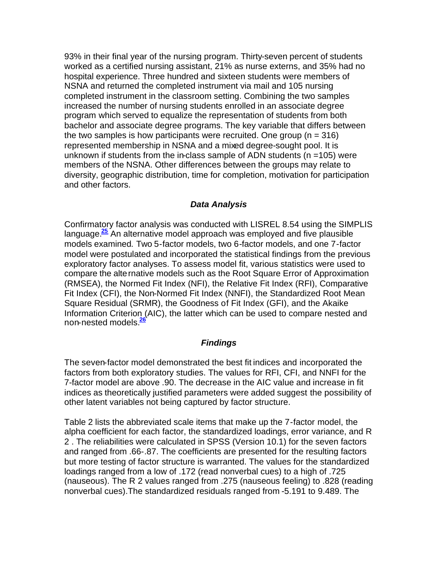93% in their final year of the nursing program. Thirty-seven percent of students worked as a certified nursing assistant, 21% as nurse externs, and 35% had no hospital experience. Three hundred and sixteen students were members of NSNA and returned the completed instrument via mail and 105 nursing completed instrument in the classroom setting. Combining the two samples increased the number of nursing students enrolled in an associate degree program which served to equalize the representation of students from both bachelor and associate degree programs. The key variable that differs between the two samples is how participants were recruited. One group  $(n = 316)$ represented membership in NSNA and a mixed degree-sought pool. It is unknown if students from the in-class sample of ADN students ( $n = 105$ ) were members of the NSNA. Other differences between the groups may relate to diversity, geographic distribution, time for completion, motivation for participation and other factors.

#### *Data Analysis*

Confirmatory factor analysis was conducted with LISREL 8.54 using the SIMPLIS language.**<sup>25</sup>** An alternative model approach was employed and five plausible models examined*.* Two 5-factor models, two 6-factor models, and one 7-factor model were postulated and incorporated the statistical findings from the previous exploratory factor analyses. To assess model fit, various statistics were used to compare the alternative models such as the Root Square Error of Approximation (RMSEA), the Normed Fit Index (NFI), the Relative Fit Index (RFI), Comparative Fit Index (CFI), the Non-Normed Fit Index (NNFI), the Standardized Root Mean Square Residual (SRMR), the Goodness of Fit Index (GFI), and the Akaike Information Criterion (AIC), the latter which can be used to compare nested and non-nested models.**<sup>26</sup>**

#### *Findings*

The seven-factor model demonstrated the best fit indices and incorporated the factors from both exploratory studies. The values for RFI, CFI, and NNFI for the 7-factor model are above .90. The decrease in the AIC value and increase in fit indices as theoretically justified parameters were added suggest the possibility of other latent variables not being captured by factor structure.

Table 2 lists the abbreviated scale items that make up the 7-factor model, the alpha coefficient for each factor, the standardized loadings, error variance, and R 2 . The reliabilities were calculated in SPSS (Version 10.1) for the seven factors and ranged from .66-.87. The coefficients are presented for the resulting factors but more testing of factor structure is warranted. The values for the standardized loadings ranged from a low of .172 (read nonverbal cues) to a high of .725 (nauseous). The R 2 values ranged from .275 (nauseous feeling) to .828 (reading nonverbal cues).The standardized residuals ranged from -5.191 to 9.489. The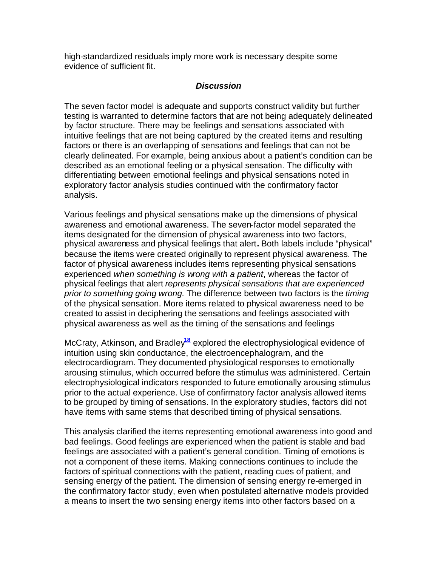high-standardized residuals imply more work is necessary despite some evidence of sufficient fit.

#### *Discussion*

The seven factor model is adequate and supports construct validity but further testing is warranted to determine factors that are not being adequately delineated by factor structure. There may be feelings and sensations associated with intuitive feelings that are not being captured by the created items and resulting factors or there is an overlapping of sensations and feelings that can not be clearly delineated. For example, being anxious about a patient's condition can be described as an emotional feeling or a physical sensation. The difficulty with differentiating between emotional feelings and physical sensations noted in exploratory factor analysis studies continued with the confirmatory factor analysis.

Various feelings and physical sensations make up the dimensions of physical awareness and emotional awareness. The seven-factor model separated the items designated for the dimension of physical awareness into two factors, physical awareness and physical feelings that alert**.** Both labels include "physical" because the items were created originally to represent physical awareness. The factor of physical awareness includes items representing physical sensations experienced *when something is wrong with a patient*, whereas the factor of physical feelings that alert *represents physical sensations that are experienced prior to something going wrong.* The difference between two factors is the *timing* of the physical sensation. More items related to physical awareness need to be created to assist in deciphering the sensations and feelings associated with physical awareness as well as the timing of the sensations and feelings

McCraty, Atkinson, and Bradley**<sup>18</sup>** explored the electrophysiological evidence of intuition using skin conductance, the electroencephalogram, and the electrocardiogram. They documented physiological responses to emotionally arousing stimulus, which occurred before the stimulus was administered. Certain electrophysiological indicators responded to future emotionally arousing stimulus prior to the actual experience. Use of confirmatory factor analysis allowed items to be grouped by timing of sensations. In the exploratory studies, factors did not have items with same stems that described timing of physical sensations.

This analysis clarified the items representing emotional awareness into good and bad feelings. Good feelings are experienced when the patient is stable and bad feelings are associated with a patient's general condition. Timing of emotions is not a component of these items. Making connections continues to include the factors of spiritual connections with the patient, reading cues of patient, and sensing energy of the patient. The dimension of sensing energy re-emerged in the confirmatory factor study, even when postulated alternative models provided a means to insert the two sensing energy items into other factors based on a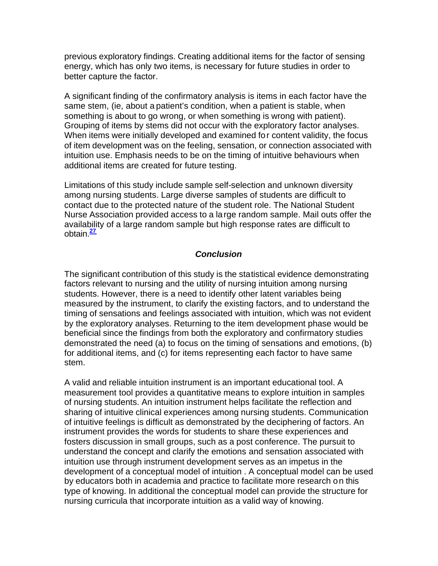previous exploratory findings. Creating additional items for the factor of sensing energy, which has only two items, is necessary for future studies in order to better capture the factor.

A significant finding of the confirmatory analysis is items in each factor have the same stem, (ie, about a patient's condition, when a patient is stable, when something is about to go wrong, or when something is wrong with patient). Grouping of items by stems did not occur with the exploratory factor analyses. When items were initially developed and examined for content validity, the focus of item development was on the feeling, sensation, or connection associated with intuition use. Emphasis needs to be on the timing of intuitive behaviours when additional items are created for future testing.

Limitations of this study include sample self-selection and unknown diversity among nursing students. Large diverse samples of students are difficult to contact due to the protected nature of the student role. The National Student Nurse Association provided access to a large random sample. Mail outs offer the availability of a large random sample but high response rates are difficult to obtain.**<sup>27</sup>**

#### *Conclusion*

The significant contribution of this study is the statistical evidence demonstrating factors relevant to nursing and the utility of nursing intuition among nursing students. However, there is a need to identify other latent variables being measured by the instrument, to clarify the existing factors, and to understand the timing of sensations and feelings associated with intuition, which was not evident by the exploratory analyses. Returning to the item development phase would be beneficial since the findings from both the exploratory and confirmatory studies demonstrated the need (a) to focus on the timing of sensations and emotions, (b) for additional items, and (c) for items representing each factor to have same stem.

A valid and reliable intuition instrument is an important educational tool. A measurement tool provides a quantitative means to explore intuition in samples of nursing students. An intuition instrument helps facilitate the reflection and sharing of intuitive clinical experiences among nursing students. Communication of intuitive feelings is difficult as demonstrated by the deciphering of factors. An instrument provides the words for students to share these experiences and fosters discussion in small groups, such as a post conference. The pursuit to understand the concept and clarify the emotions and sensation associated with intuition use through instrument development serves as an impetus in the development of a conceptual model of intuition . A conceptual model can be used by educators both in academia and practice to facilitate more research on this type of knowing. In additional the conceptual model can provide the structure for nursing curricula that incorporate intuition as a valid way of knowing.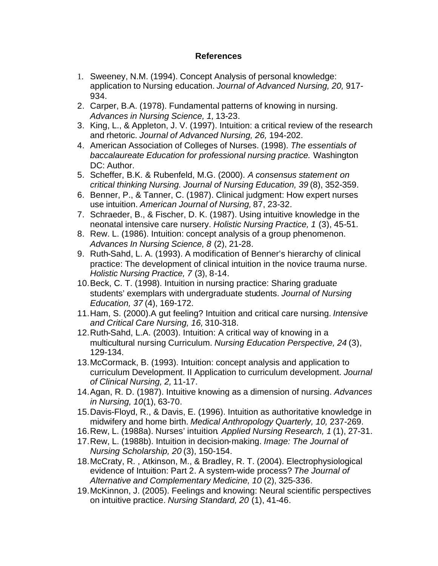#### **References**

- 1. Sweeney, N.M. (1994). Concept Analysis of personal knowledge: application to Nursing education. *Journal of Advanced Nursing, 20,* 917- 934.
- 2. Carper, B.A. (1978). Fundamental patterns of knowing in nursing. *Advances in Nursing Science, 1,* 13-23.
- 3. King, L., & Appleton, J. V. (1997). Intuition: a critical review of the research and rhetoric. *Journal of Advanced Nursing, 26,* 194-202.
- 4. American Association of Colleges of Nurses. (1998). *The essentials of baccalaureate Education for professional nursing practice.* Washington DC: Author.
- 5. Scheffer, B.K. & Rubenfeld, M.G. (2000). *A consensus statement on critical thinking Nursing. Journal of Nursing Education, 39* (8), 352-359.
- 6. Benner, P., & Tanner, C. (1987). Clinical judgment: How expert nurses use intuition. *American Journal of Nursing,* 87, 23-32.
- 7. Schraeder, B., & Fischer, D. K. (1987). Using intuitive knowledge in the neonatal intensive care nursery. *Holistic Nursing Practice, 1* (3), 45-51.
- 8. Rew. L. (1986). Intuition: concept analysis of a group phenomenon. *Advances In Nursing Science, 8* (2), 21-28.
- 9. Ruth-Sahd, L. A. (1993). A modification of Benner's hierarchy of clinical practice: The development of clinical intuition in the novice trauma nurse. *Holistic Nursing Practice, 7* (3), 8-14.
- 10.Beck, C. T. (1998). Intuition in nursing practice: Sharing graduate students' exemplars with undergraduate students. *Journal of Nursing Education, 37* (4), 169-172.
- 11.Ham, S. (2000).A gut feeling? Intuition and critical care nursing. *Intensive and Critical Care Nursing, 16,* 310-318.
- 12.Ruth-Sahd, L.A. (2003). Intuition: A critical way of knowing in a multicultural nursing Curriculum. *Nursing Education Perspective, 24* (3), 129-134.
- 13.McCormack, B. (1993). Intuition: concept analysis and application to curriculum Development. II Application to curriculum development. *Journal of Clinical Nursing, 2,* 11-17.
- 14.Agan, R. D. (1987). Intuitive knowing as a dimension of nursing. *Advances in Nursing, 10*(1), 63-70.
- 15.Davis-Floyd, R., & Davis, E. (1996). Intuition as authoritative knowledge in midwifery and home birth. *Medical Anthropology Quarterly, 10,* 237-269.
- 16.Rew, L. (1988a). Nurses' intuition*. Applied Nursing Research, 1* (1), 27-31.
- 17.Rew, L. (1988b). Intuition in decision-making. *Image: The Journal of Nursing Scholarship, 20* (3), 150-154.
- 18.McCraty, R. , Atkinson, M., & Bradley, R. T. (2004). Electrophysiological evidence of Intuition: Part 2. A system-wide process? *The Journal of Alternative and Complementary Medicine, 10* (2), 325-336.
- 19.McKinnon, J. (2005). Feelings and knowing: Neural scientific perspectives on intuitive practice. *Nursing Standard, 20* (1), 41-46.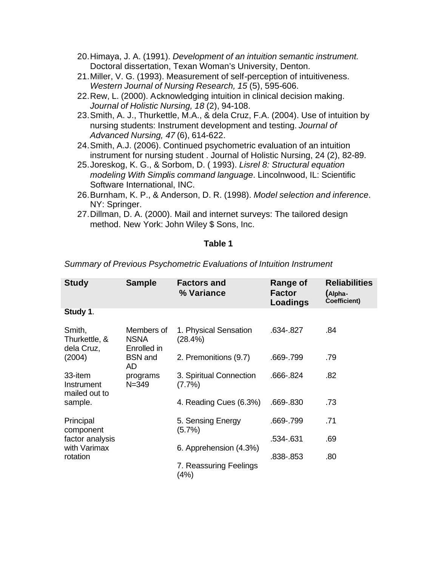- 20.Himaya, J. A. (1991). *Development of an intuition semantic instrument.*  Doctoral dissertation, Texan Woman's University, Denton.
- 21.Miller, V. G. (1993). Measurement of self-perception of intuitiveness. *Western Journal of Nursing Research, 15* (5), 595-606.
- 22.Rew, L. (2000). Acknowledging intuition in clinical decision making. *Journal of Holistic Nursing, 18* (2), 94-108.
- 23.Smith, A. J., Thurkettle, M.A., & dela Cruz, F.A. (2004). Use of intuition by nursing students: Instrument development and testing. *Journal of Advanced Nursing, 47* (6), 614-622.
- 24.Smith, A.J. (2006). Continued psychometric evaluation of an intuition instrument for nursing student . Journal of Holistic Nursing, 24 (2), 82-89.
- 25.Joreskog, K. G., & Sorbom, D. ( 1993). *Lisrel 8: Structural equation modeling With Simplis command language*. Lincolnwood, IL: Scientific Software International, INC.
- 26.Burnham, K. P., & Anderson, D. R. (1998). *Model selection and inference*. NY: Springer.
- 27.Dillman, D. A. (2000). Mail and internet surveys: The tailored design method. New York: John Wiley \$ Sons, Inc.

#### **Table 1**

| <b>Study</b>                                                          | <b>Sample</b>                                                    | <b>Factors and</b><br>% Variance     | Range of<br><b>Factor</b><br>Loadings | <b>Reliabilities</b><br>(Alpha-<br>Coefficient) |
|-----------------------------------------------------------------------|------------------------------------------------------------------|--------------------------------------|---------------------------------------|-------------------------------------------------|
| Study 1.                                                              |                                                                  |                                      |                                       |                                                 |
| Smith,<br>Thurkettle, &<br>dela Cruz,<br>(2004)                       | Members of<br><b>NSNA</b><br>Enrolled in<br><b>BSN</b> and<br>AD | 1. Physical Sensation<br>(28.4%)     | .634-.827                             | .84                                             |
|                                                                       |                                                                  | 2. Premonitions (9.7)                | .669-.799                             | .79                                             |
| 33-item<br>Instrument<br>mailed out to<br>sample.                     | programs<br>$N = 349$                                            | 3. Spiritual Connection<br>$(7.7\%)$ | .666-.824                             | .82                                             |
|                                                                       |                                                                  | 4. Reading Cues (6.3%)               | .669-.830                             | .73                                             |
| Principal<br>component<br>factor analysis<br>with Varimax<br>rotation |                                                                  | 5. Sensing Energy<br>$(5.7\%)$       | .669-.799                             | .71                                             |
|                                                                       |                                                                  |                                      | .534-.631                             | .69                                             |
|                                                                       |                                                                  | 6. Apprehension (4.3%)               | .838-.853                             | .80                                             |
|                                                                       |                                                                  | 7. Reassuring Feelings<br>(4%)       |                                       |                                                 |

*Summary of Previous Psychometric Evaluations of Intuition Instrument*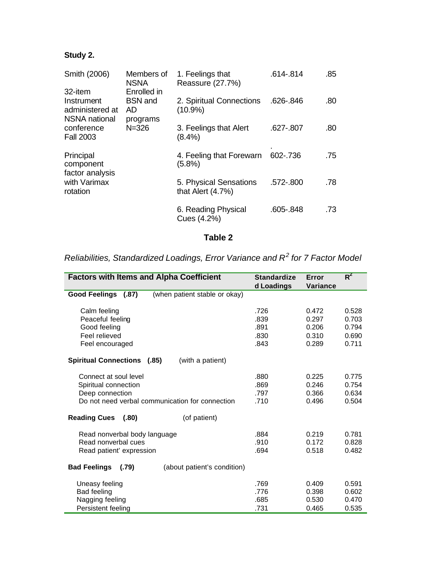## **Study 2.**

| Smith (2006)                                                                                       | Members of<br><b>NSNA</b>                                    | 1. Feelings that<br>Reassure (27.7%)          | .614-.814 | .85 |
|----------------------------------------------------------------------------------------------------|--------------------------------------------------------------|-----------------------------------------------|-----------|-----|
| 32-item<br>Instrument<br>administered at<br><b>NSNA</b> national<br>conference<br><b>Fall 2003</b> | Enrolled in<br><b>BSN</b> and<br>AD<br>programs<br>$N = 326$ | 2. Spiritual Connections<br>$(10.9\%)$        | .626-.846 | .80 |
|                                                                                                    |                                                              | 3. Feelings that Alert<br>$(8.4\%)$           | .627-.807 | .80 |
| Principal<br>component<br>factor analysis<br>with Varimax<br>rotation                              |                                                              | 4. Feeling that Forewarn<br>$(5.8\%)$         | 602-.736  | .75 |
|                                                                                                    |                                                              | 5. Physical Sensations<br>that Alert $(4.7%)$ | .572-.800 | .78 |
|                                                                                                    |                                                              | 6. Reading Physical<br>Cues (4.2%)            | .605-.848 | .73 |

## **Table 2**

### *Reliabilities, Standardized Loadings, Error Variance and R<sup>2</sup> for 7 Factor Model*

| <b>Factors with Items and Alpha Coefficient</b>                | <b>Standardize</b> | Error           | $R^2$ |
|----------------------------------------------------------------|--------------------|-----------------|-------|
|                                                                | d Loadings         | <b>Variance</b> |       |
| (when patient stable or okay)<br><b>Good Feelings</b><br>(.87) |                    |                 |       |
|                                                                |                    |                 |       |
| Calm feeling                                                   | .726               | 0.472           | 0.528 |
| Peaceful feeling                                               | .839               | 0.297           | 0.703 |
| Good feeling                                                   | .891               | 0.206           | 0.794 |
| Feel relieved                                                  | .830               | 0.310           | 0.690 |
| Feel encouraged                                                | .843               | 0.289           | 0.711 |
| <b>Spiritual Connections</b><br>(with a patient)<br>(.85)      |                    |                 |       |
|                                                                |                    |                 |       |
| Connect at soul level                                          | .880               | 0.225           | 0.775 |
| Spiritual connection                                           | .869               | 0.246           | 0.754 |
| Deep connection                                                | .797               | 0.366           | 0.634 |
| Do not need verbal communication for connection                | .710               | 0.496           | 0.504 |
|                                                                |                    |                 |       |
| <b>Reading Cues</b><br>(of patient)<br>(.80)                   |                    |                 |       |
| Read nonverbal body language                                   | .884               | 0.219           | 0.781 |
| Read nonverbal cues                                            | .910               | 0.172           | 0.828 |
| Read patient' expression                                       | .694               | 0.518           | 0.482 |
|                                                                |                    |                 |       |
| <b>Bad Feelings</b><br>(.79)<br>(about patient's condition)    |                    |                 |       |
| Uneasy feeling                                                 | .769               | 0.409           | 0.591 |
| Bad feeling                                                    | .776               | 0.398           | 0.602 |
| Nagging feeling                                                | .685               | 0.530           | 0.470 |
| Persistent feeling                                             | .731               | 0.465           | 0.535 |